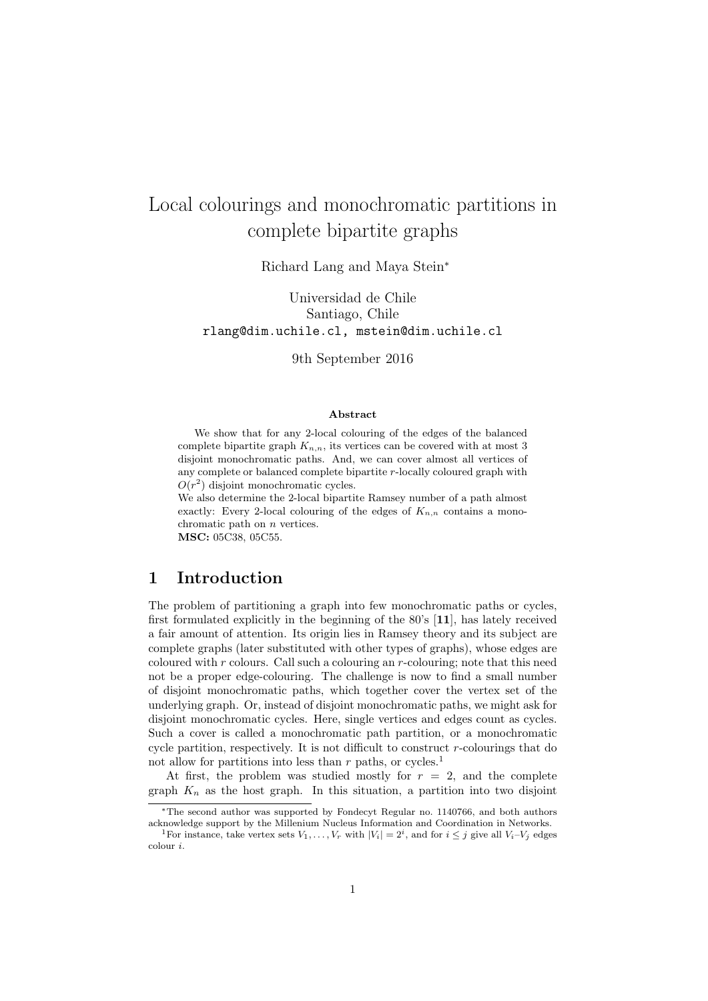# Local colourings and monochromatic partitions in complete bipartite graphs

Richard Lang and Maya Stein*<sup>∗</sup>*

Universidad de Chile Santiago, Chile rlang@dim.uchile.cl, mstein@dim.uchile.cl

9th September 2016

#### **Abstract**

We show that for any 2-local colouring of the edges of the balanced complete bipartite graph  $K_{n,n}$ , its vertices can be covered with at most 3 disjoint monochromatic paths. And, we can cover almost all vertices of any complete or balanced complete bipartite *r*-locally coloured graph with  $O(r^2)$  disjoint monochromatic cycles.

We also determine the 2-local bipartite Ramsey number of a path almost exactly: Every 2-local colouring of the edges of  $K_{n,n}$  contains a monochromatic path on *n* vertices. **MSC:** 05C38, 05C55.

# **1 Introduction**

The problem of partitioning a graph into few monochromatic paths or cycles, first formulated explicitly in the beginning of the 80's [**11**], has lately received a fair amount of attention. Its origin lies in Ramsey theory and its subject are complete graphs (later substituted with other types of graphs), whose edges are coloured with *r* colours. Call such a colouring an *r*-colouring; note that this need not be a proper edge-colouring. The challenge is now to find a small number of disjoint monochromatic paths, which together cover the vertex set of the underlying graph. Or, instead of disjoint monochromatic paths, we might ask for disjoint monochromatic cycles. Here, single vertices and edges count as cycles. Such a cover is called a monochromatic path partition, or a monochromatic cycle partition, respectively. It is not difficult to construct *r*-colourings that do not allow for partitions into less than  $r$  paths, or cycles.<sup>1</sup>

At first, the problem was studied mostly for  $r = 2$ , and the complete graph  $K_n$  as the host graph. In this situation, a partition into two disjoint

*<sup>∗</sup>*The second author was supported by Fondecyt Regular no. 1140766, and both authors acknowledge support by the Millenium Nucleus Information and Coordination in Networks.

<sup>&</sup>lt;sup>1</sup>For instance, take vertex sets  $V_1, \ldots, V_r$  with  $|V_i| = 2^i$ , and for  $i \leq j$  give all  $V_i-V_j$  edges colour *i*.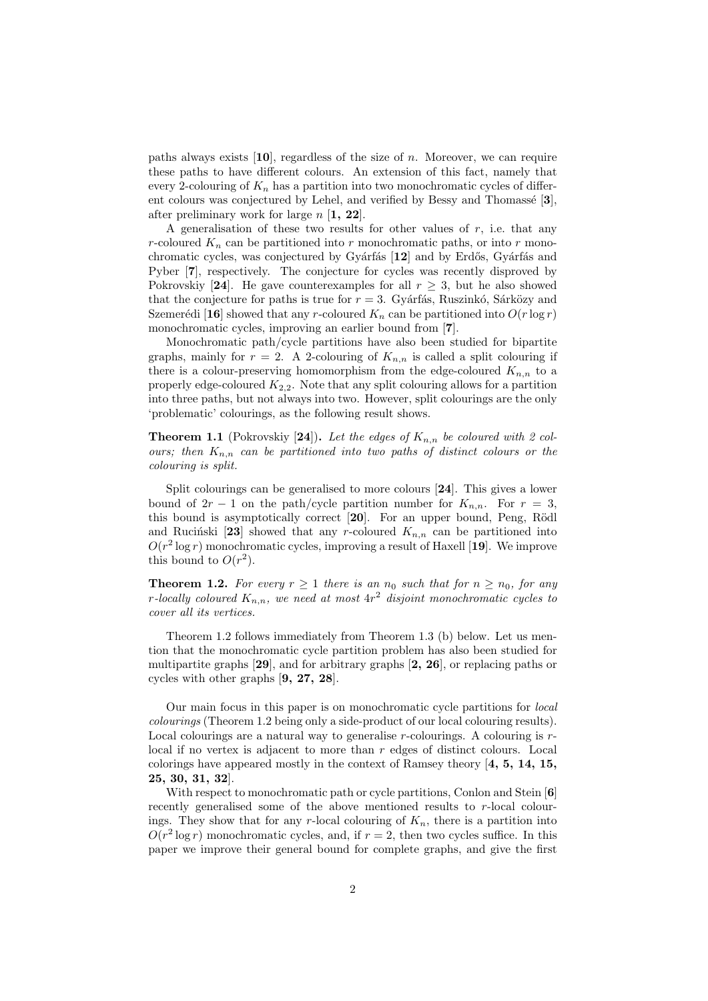paths always exists [**10**], regardless of the size of *n*. Moreover, we can require these paths to have different colours. An extension of this fact, namely that every 2-colouring of  $K_n$  has a partition into two monochromatic cycles of different colours was conjectured by Lehel, and verified by Bessy and Thomassé [3], after preliminary work for large *n* [**1, 22**].

A generalisation of these two results for other values of *r*, i.e. that any *r*-coloured  $K_n$  can be partitioned into *r* monochromatic paths, or into *r* monochromatic cycles, was conjectured by Gyárfás [12] and by Erdős, Gyárfás and Pyber [**7**], respectively. The conjecture for cycles was recently disproved by Pokrovskiy [24]. He gave counterexamples for all  $r \geq 3$ , but he also showed that the conjecture for paths is true for  $r = 3$ . Gyárfás, Ruszinkó, Sárközy and Szemerédi [16] showed that any *r*-coloured  $K_n$  can be partitioned into  $O(r \log r)$ monochromatic cycles, improving an earlier bound from [**7**].

Monochromatic path/cycle partitions have also been studied for bipartite graphs, mainly for  $r = 2$ . A 2-colouring of  $K_{n,n}$  is called a split colouring if there is a colour-preserving homomorphism from the edge-coloured  $K_{n,n}$  to a properly edge-coloured *K*2*,*2. Note that any split colouring allows for a partition into three paths, but not always into two. However, split colourings are the only 'problematic' colourings, as the following result shows.

**Theorem 1.1** (Pokrovskiy [24]). Let the edges of  $K_{n,n}$  be coloured with 2 col*ours; then*  $K_{n,n}$  *can be partitioned into two paths of distinct colours or the colouring is split.*

Split colourings can be generalised to more colours [**24**]. This gives a lower bound of  $2r - 1$  on the path/cycle partition number for  $K_{n,n}$ . For  $r = 3$ , this bound is asymptotically correct [20]. For an upper bound, Peng, Rödl and Rucinski [23] showed that any *r*-coloured  $K_{n,n}$  can be partitioned into  $O(r^2 \log r)$  monochromatic cycles, improving a result of Haxell [19]. We improve this bound to  $O(r^2)$ .

**Theorem 1.2.** For every  $r \geq 1$  there is an  $n_0$  such that for  $n \geq n_0$ , for any *r-locally coloured Kn,n, we need at most* 4*r* <sup>2</sup> *disjoint monochromatic cycles to cover all its vertices.*

Theorem 1.2 follows immediately from Theorem 1.3 (b) below. Let us mention that the monochromatic cycle partition problem has also been studied for multipartite graphs [**29**], and for arbitrary graphs [**2, 26**], or replacing paths or cycles with other graphs [**9, 27, 28**].

Our main focus in this paper is on monochromatic cycle partitions for *local colourings* (Theorem 1.2 being only a side-product of our local colouring results). Local colourings are a natural way to generalise *r*-colourings. A colouring is *r*local if no vertex is adjacent to more than *r* edges of distinct colours. Local colorings have appeared mostly in the context of Ramsey theory [**4, 5, 14, 15, 25, 30, 31, 32**].

With respect to monochromatic path or cycle partitions, Conlon and Stein [**6**] recently generalised some of the above mentioned results to *r*-local colourings. They show that for any  $r$ -local colouring of  $K_n$ , there is a partition into  $O(r^2 \log r)$  monochromatic cycles, and, if  $r = 2$ , then two cycles suffice. In this paper we improve their general bound for complete graphs, and give the first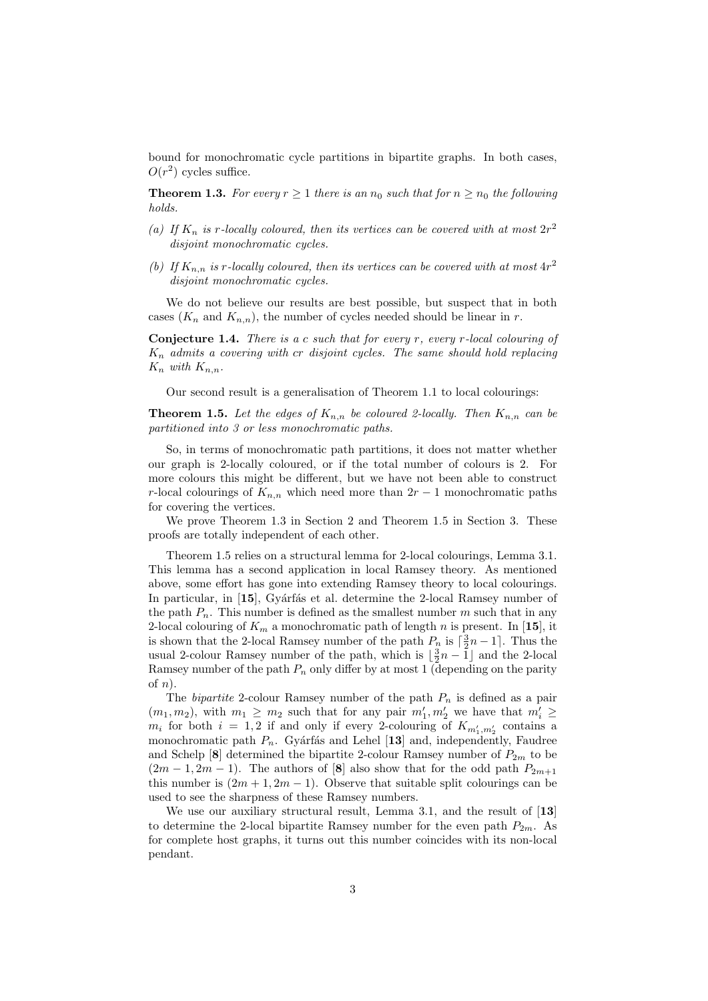bound for monochromatic cycle partitions in bipartite graphs. In both cases,  $O(r^2)$  cycles suffice.

**Theorem 1.3.** For every  $r \geq 1$  there is an  $n_0$  such that for  $n \geq n_0$  the following *holds.*

- (a) If  $K_n$  is *r*-locally coloured, then its vertices can be covered with at most  $2r^2$ *disjoint monochromatic cycles.*
- (b) If  $K_{n,n}$  is *r*-locally coloured, then its vertices can be covered with at most  $4r^2$ *disjoint monochromatic cycles.*

We do not believe our results are best possible, but suspect that in both cases  $(K_n$  and  $K_{n,n}$ ), the number of cycles needed should be linear in *r*.

**Conjecture 1.4.** *There is a c such that for every r, every r-local colouring of K<sup>n</sup> admits a covering with cr disjoint cycles. The same should hold replacing*  $K_n$  *with*  $K_{n,n}$ *.* 

Our second result is a generalisation of Theorem 1.1 to local colourings:

**Theorem 1.5.** Let the edges of  $K_{n,n}$  be coloured 2-locally. Then  $K_{n,n}$  can be *partitioned into 3 or less monochromatic paths.*

So, in terms of monochromatic path partitions, it does not matter whether our graph is 2-locally coloured, or if the total number of colours is 2. For more colours this might be different, but we have not been able to construct *r*-local colourings of  $K_{n,n}$  which need more than  $2r-1$  monochromatic paths for covering the vertices.

We prove Theorem 1.3 in Section 2 and Theorem 1.5 in Section 3. These proofs are totally independent of each other.

Theorem 1.5 relies on a structural lemma for 2-local colourings, Lemma 3.1. This lemma has a second application in local Ramsey theory. As mentioned above, some effort has gone into extending Ramsey theory to local colourings. In particular, in [15], Gyárfás et al. determine the 2-local Ramsey number of the path  $P_n$ . This number is defined as the smallest number  $m$  such that in any 2-local colouring of  $K_m$  a monochromatic path of length *n* is present. In [15], it is shown that the 2-local Ramsey number of the path  $P_n$  is  $\lceil \frac{3}{2}n - 1 \rceil$ . Thus the usual 2-colour Ramsey number of the path, which is  $\lfloor \frac{3}{2}n - 1 \rfloor$  and the 2-local Ramsey number of the path  $P_n$  only differ by at most 1 (depending on the parity of *n*).

The *bipartite* 2-colour Ramsey number of the path *P<sup>n</sup>* is defined as a pair  $(m_1, m_2)$ , with  $m_1 \geq m_2$  such that for any pair  $m'_1, m'_2$  we have that  $m'_i \geq$  $m_i$  for both  $i = 1, 2$  if and only if every 2-colouring of  $K_{m'_1, m'_2}$  contains a monochromatic path  $P_n$ . Gyárfás and Lehel [13] and, independently, Faudree and Schelp  $[8]$  determined the bipartite 2-colour Ramsey number of  $P_{2m}$  to be  $(2m-1, 2m-1)$ . The authors of [8] also show that for the odd path  $P_{2m+1}$ this number is  $(2m + 1, 2m - 1)$ . Observe that suitable split colourings can be used to see the sharpness of these Ramsey numbers.

We use our auxiliary structural result, Lemma 3.1, and the result of [**13**] to determine the 2-local bipartite Ramsey number for the even path  $P_{2m}$ . As for complete host graphs, it turns out this number coincides with its non-local pendant.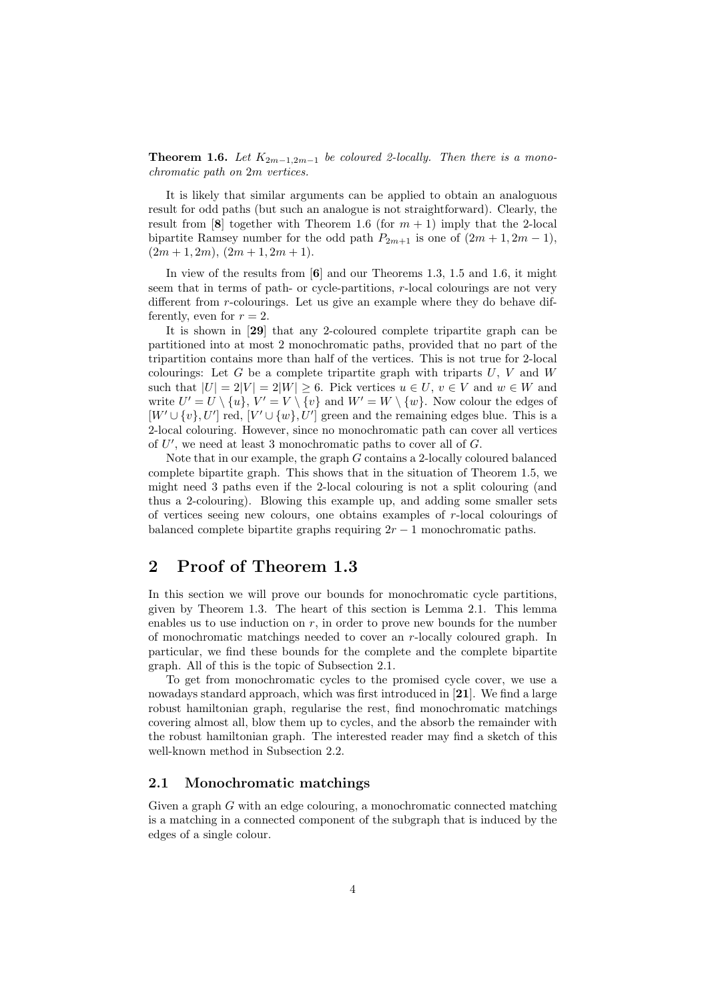**Theorem 1.6.** *Let*  $K_{2m-1,2m-1}$  *be coloured 2-locally. Then there is a monochromatic path on* 2*m vertices.*

It is likely that similar arguments can be applied to obtain an analoguous result for odd paths (but such an analogue is not straightforward). Clearly, the result from  $[8]$  together with Theorem 1.6 (for  $m + 1$ ) imply that the 2-local bipartite Ramsey number for the odd path  $P_{2m+1}$  is one of  $(2m + 1, 2m - 1)$ ,  $(2m + 1, 2m), (2m + 1, 2m + 1).$ 

In view of the results from [**6**] and our Theorems 1.3, 1.5 and 1.6, it might seem that in terms of path- or cycle-partitions, *r*-local colourings are not very different from *r*-colourings. Let us give an example where they do behave differently, even for  $r = 2$ .

It is shown in [**29**] that any 2-coloured complete tripartite graph can be partitioned into at most 2 monochromatic paths, provided that no part of the tripartition contains more than half of the vertices. This is not true for 2-local colourings: Let  $G$  be a complete tripartite graph with triparts  $U, V$  and  $W$ such that  $|U| = 2|V| = 2|W| \ge 6$ . Pick vertices  $u \in U$ ,  $v \in V$  and  $w \in W$  and write  $U' = U \setminus \{u\}$ ,  $V' = V \setminus \{v\}$  and  $W' = W \setminus \{w\}$ . Now colour the edges of  $[W' \cup \{v\}, U']$  red,  $[V' \cup \{w\}, U']$  green and the remaining edges blue. This is a 2-local colouring. However, since no monochromatic path can cover all vertices of *U ′* , we need at least 3 monochromatic paths to cover all of *G*.

Note that in our example, the graph *G* contains a 2-locally coloured balanced complete bipartite graph. This shows that in the situation of Theorem 1.5, we might need 3 paths even if the 2-local colouring is not a split colouring (and thus a 2-colouring). Blowing this example up, and adding some smaller sets of vertices seeing new colours, one obtains examples of *r*-local colourings of balanced complete bipartite graphs requiring  $2r - 1$  monochromatic paths.

# **2 Proof of Theorem 1.3**

In this section we will prove our bounds for monochromatic cycle partitions, given by Theorem 1.3. The heart of this section is Lemma 2.1. This lemma enables us to use induction on *r*, in order to prove new bounds for the number of monochromatic matchings needed to cover an *r*-locally coloured graph. In particular, we find these bounds for the complete and the complete bipartite graph. All of this is the topic of Subsection 2.1.

To get from monochromatic cycles to the promised cycle cover, we use a nowadays standard approach, which was first introduced in [**21**]. We find a large robust hamiltonian graph, regularise the rest, find monochromatic matchings covering almost all, blow them up to cycles, and the absorb the remainder with the robust hamiltonian graph. The interested reader may find a sketch of this well-known method in Subsection 2.2.

## **2.1 Monochromatic matchings**

Given a graph *G* with an edge colouring, a monochromatic connected matching is a matching in a connected component of the subgraph that is induced by the edges of a single colour.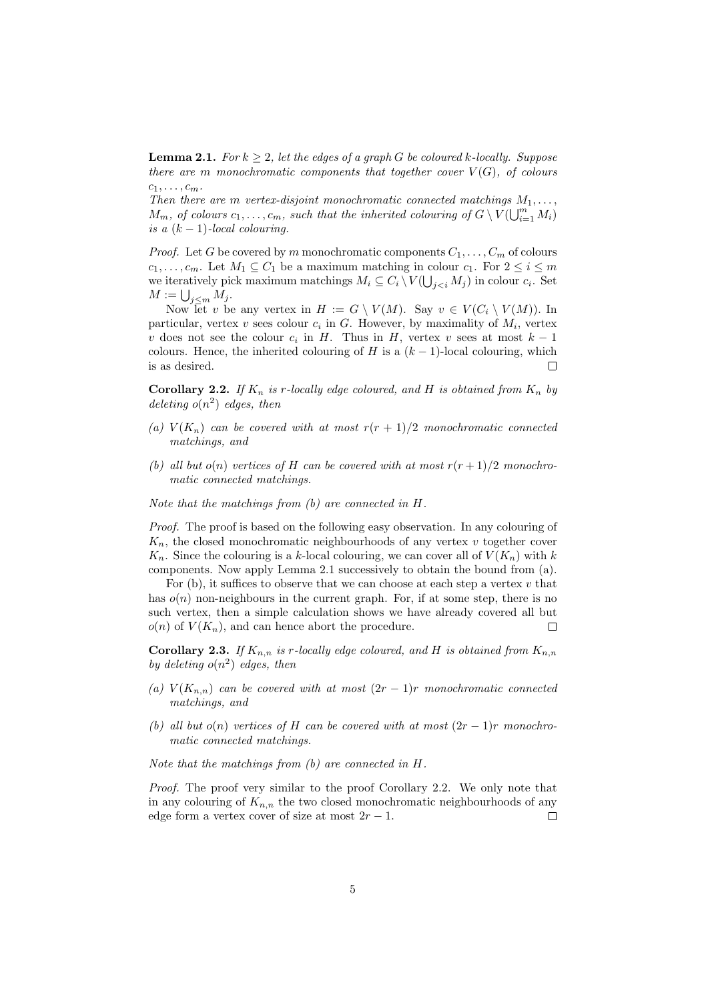**Lemma 2.1.** *For*  $k \geq 2$ *, let the edges of a graph G be coloured k*-*locally. Suppose there are m monochromatic components that together cover*  $V(G)$ *, of colours*  $c_1, \ldots, c_m$ .

*Then there are m vertex-disjoint monochromatic connected matchings*  $M_1, \ldots,$ *M*<sub>*m*</sub>, *of colours*  $c_1, \ldots, c_m$ *, such that the inherited colouring of*  $G \setminus V(\bigcup_{i=1}^m M_i)$ *is a*  $(k-1)$ *-local colouring.* 

*Proof.* Let *G* be covered by *m* monochromatic components  $C_1, \ldots, C_m$  of colours  $c_1, \ldots, c_m$ . Let  $M_1 \subseteq C_1$  be a maximum matching in colour  $c_1$ . For  $2 \leq i \leq m$ we iteratively pick maximum matchings  $M_i \subseteq C_i \setminus V(\bigcup_{j in colour  $c_i$ . Set$  $M := \bigcup_{j \leq m} M_j$ .

Now let *v* be any vertex in  $H := G \setminus V(M)$ . Say  $v \in V(C_i \setminus V(M))$ . In particular, vertex  $v$  sees colour  $c_i$  in  $G$ . However, by maximality of  $M_i$ , vertex *v* does not see the colour  $c_i$  in *H*. Thus in *H*, vertex *v* sees at most  $k-1$ colours. Hence, the inherited colouring of *H* is a  $(k-1)$ -local colouring, which is as desired. ⊏

**Corollary 2.2.** *If*  $K_n$  *is*  $r$ *-locally edge coloured, and*  $H$  *is obtained from*  $K_n$  *by deleting o*(*n* 2 ) *edges, then*

- (a)  $V(K_n)$  *can be covered with at most*  $r(r + 1)/2$  *monochromatic connected matchings, and*
- *(b)* all but  $o(n)$  vertices of H can be covered with at most  $r(r+1)/2$  monochro*matic connected matchings.*

*Note that the matchings from (b) are connected in H.*

*Proof.* The proof is based on the following easy observation. In any colouring of *Kn*, the closed monochromatic neighbourhoods of any vertex *v* together cover  $K_n$ . Since the colouring is a *k*-local colouring, we can cover all of  $V(K_n)$  with *k* components. Now apply Lemma 2.1 successively to obtain the bound from (a).

For (b), it suffices to observe that we can choose at each step a vertex *v* that has  $o(n)$  non-neighbours in the current graph. For, if at some step, there is no such vertex, then a simple calculation shows we have already covered all but  $o(n)$  of  $V(K_n)$ , and can hence abort the procedure. Г

**Corollary 2.3.** If  $K_{n,n}$  is *r*-locally edge coloured, and H is obtained from  $K_{n,n}$ *by deleting*  $o(n^2)$  *edges, then* 

- *(a)*  $V(K_{n,n})$  *can be covered with at most*  $(2r-1)r$  *monochromatic connected matchings, and*
- *(b)* all but  $o(n)$  vertices of *H* can be covered with at most  $(2r 1)r$  monochro*matic connected matchings.*

*Note that the matchings from (b) are connected in H.*

*Proof.* The proof very similar to the proof Corollary 2.2. We only note that in any colouring of  $K_{n,n}$  the two closed monochromatic neighbourhoods of any edge form a vertex cover of size at most 2*r −* 1.  $\Box$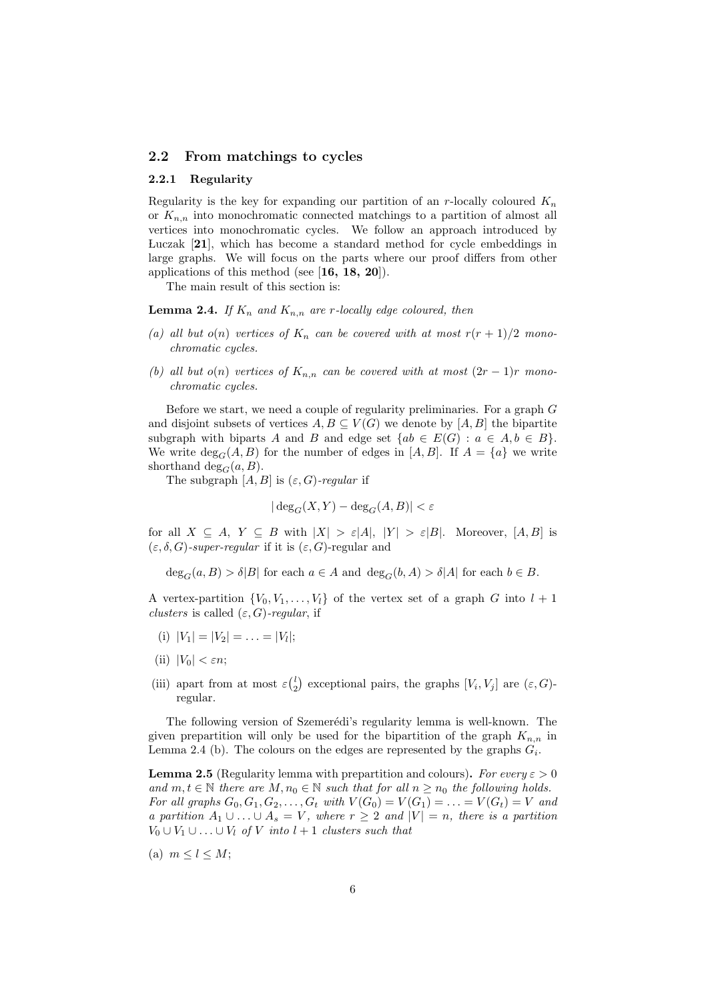### **2.2 From matchings to cycles**

#### **2.2.1 Regularity**

Regularity is the key for expanding our partition of an *r*-locally coloured *K<sup>n</sup>* or  $K_{n,n}$  into monochromatic connected matchings to a partition of almost all vertices into monochromatic cycles. We follow an approach introduced by Luczak [**21**], which has become a standard method for cycle embeddings in large graphs. We will focus on the parts where our proof differs from other applications of this method (see [**16, 18, 20**]).

The main result of this section is:

**Lemma 2.4.** *If*  $K_n$  *and*  $K_{n,n}$  *are r-locally edge coloured, then* 

- (a) all but  $o(n)$  vertices of  $K_n$  can be covered with at most  $r(r + 1)/2$  mono*chromatic cycles.*
- *(b)* all but  $o(n)$  vertices of  $K_{n,n}$  can be covered with at most  $(2r-1)r$  mono*chromatic cycles.*

Before we start, we need a couple of regularity preliminaries. For a graph *G* and disjoint subsets of vertices  $A, B \subseteq V(G)$  we denote by  $[A, B]$  the bipartite subgraph with biparts *A* and *B* and edge set  $\{ab \in E(G) : a \in A, b \in B\}$ . We write  $\deg_G(A, B)$  for the number of edges in  $[A, B]$ . If  $A = \{a\}$  we write shorthand deg<sub>*G*</sub> $(a, B)$ .

The subgraph  $[A, B]$  is  $(\varepsilon, G)$ *-regular* if

$$
|\deg_G(X, Y) - \deg_G(A, B)| < \varepsilon
$$

for all  $X \subseteq A$ ,  $Y \subseteq B$  with  $|X| > \varepsilon |A|$ ,  $|Y| > \varepsilon |B|$ . Moreover,  $[A, B]$  is (*ε, δ, G*)*-super-regular* if it is (*ε, G*)-regular and

 $\deg_G(a, B) > \delta |B|$  for each  $a \in A$  and  $\deg_G(b, A) > \delta |A|$  for each  $b \in B$ .

A vertex-partition  $\{V_0, V_1, \ldots, V_l\}$  of the vertex set of a graph *G* into  $l + 1$ *clusters* is called  $(\varepsilon, G)$ *-regular*, if

- $|V_1| = |V_2| = \ldots = |V_l|;$
- (ii)  $|V_0| < \varepsilon n$ ;
- (iii) apart from at most  $\varepsilon$ <sup>(*l*</sup><sub>2</sub>) exceptional pairs, the graphs  $[V_i, V_j]$  are  $(\varepsilon, G)$ regular.

The following version of Szemerédi's regularity lemma is well-known. The given prepartition will only be used for the bipartition of the graph  $K_{n,n}$  in Lemma 2.4 (b). The colours on the edges are represented by the graphs  $G_i$ .

**Lemma 2.5** (Regularity lemma with prepartition and colours). For every  $\varepsilon > 0$ *and*  $m, t \in \mathbb{N}$  *there are*  $M, n_0 \in \mathbb{N}$  *such that for all*  $n \geq n_0$  *the following holds. For all graphs*  $G_0, G_1, G_2, \ldots, G_t$  *with*  $V(G_0) = V(G_1) = \ldots = V(G_t) = V$  *and a partition*  $A_1 ∪ \ldots ∪ A_s = V$ *, where*  $r ≥ 2$  *and*  $|V| = n$ *, there is a partition V*<sub>0</sub>  $∪$  *V*<sub>1</sub>  $∪$  *...*  $∪$  *V*<sub>*l*</sub> *of V into l* + 1 *clusters such that* 

 $(n)$   $m < l < M$ ;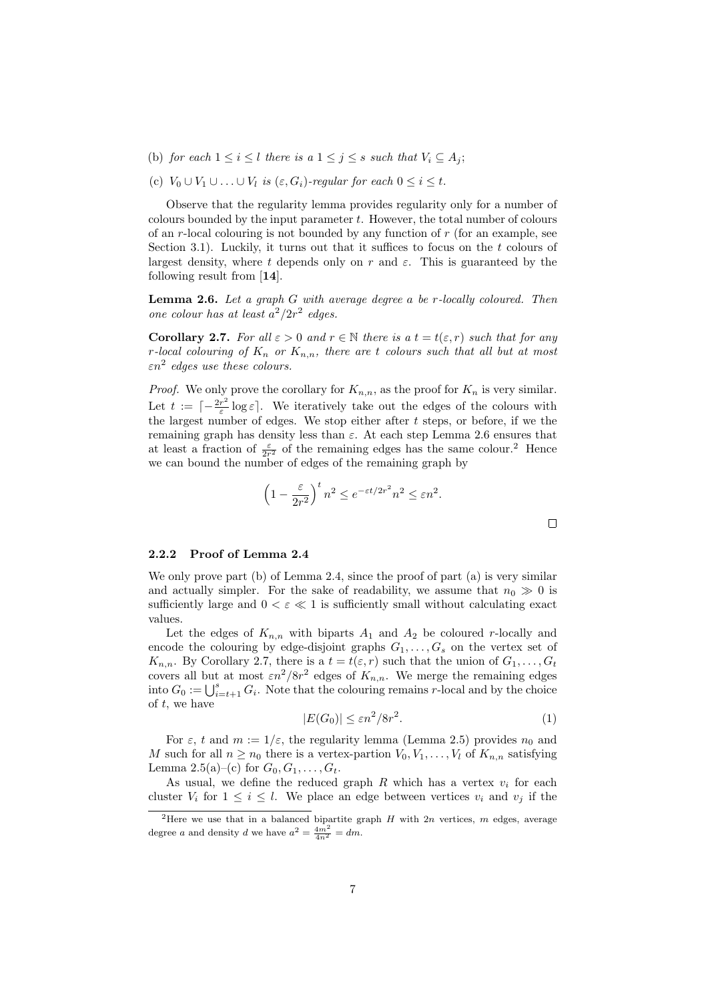- (b) *for each*  $1 \leq i \leq l$  *there is a*  $1 \leq j \leq s$  *such that*  $V_i \subseteq A_i$ ;
- (c)  $V_0 \cup V_1 \cup \ldots \cup V_l$  *is*  $(\varepsilon, G_i)$ *-regular for each*  $0 \leq i \leq t$ .

Observe that the regularity lemma provides regularity only for a number of colours bounded by the input parameter *t*. However, the total number of colours of an *r*-local colouring is not bounded by any function of *r* (for an example, see Section 3.1). Luckily, it turns out that it suffices to focus on the *t* colours of largest density, where *t* depends only on *r* and  $\varepsilon$ . This is guaranteed by the following result from [**14**].

**Lemma 2.6.** *Let a graph G with average degree a be r-locally coloured. Then one colour has at least*  $a^2/2r^2$  *edges.* 

**Corollary 2.7.** For all  $\varepsilon > 0$  and  $r \in \mathbb{N}$  there is a  $t = t(\varepsilon, r)$  such that for any *r*-local colouring of  $K_n$  or  $K_{n,n}$ , there are *t* colours such that all but at most *εn*<sup>2</sup> *edges use these colours.*

*Proof.* We only prove the corollary for  $K_{n,n}$ , as the proof for  $K_n$  is very similar. Let  $t := \lceil -\frac{2r^2}{\varepsilon} \rceil$  $\frac{r^2}{\varepsilon}$  log  $\varepsilon$ <sup>*\*</sup>. We iteratively take out the edges of the colours with the largest number of edges. We stop either after *t* steps, or before, if we the remaining graph has density less than *ε*. At each step Lemma 2.6 ensures that at least a fraction of  $\frac{\varepsilon}{2r^2}$  of the remaining edges has the same colour.<sup>2</sup> Hence we can bound the number of edges of the remaining graph by

$$
\left(1 - \frac{\varepsilon}{2r^2}\right)^t n^2 \le e^{-\varepsilon t/2r^2} n^2 \le \varepsilon n^2.
$$

#### **2.2.2 Proof of Lemma 2.4**

We only prove part (b) of Lemma 2.4, since the proof of part (a) is very similar and actually simpler. For the sake of readability, we assume that  $n_0 \gg 0$  is sufficiently large and  $0 < \varepsilon \ll 1$  is sufficiently small without calculating exact values.

Let the edges of  $K_{n,n}$  with biparts  $A_1$  and  $A_2$  be coloured *r*-locally and encode the colouring by edge-disjoint graphs  $G_1, \ldots, G_s$  on the vertex set of  $K_{n,n}$ . By Corollary 2.7, there is a  $t = t(\varepsilon, r)$  such that the union of  $G_1, \ldots, G_t$ covers all but at most  $\epsilon n^2/8r^2$  edges of  $K_{n,n}$ . We merge the remaining edges into  $G_0 := \bigcup_{i=t+1}^s G_i$ . Note that the colouring remains *r*-local and by the choice of *t*, we have

$$
|E(G_0)| \le \varepsilon n^2 / 8r^2. \tag{1}
$$

 $\Box$ 

For  $\varepsilon$ , *t* and  $m := 1/\varepsilon$ , the regularity lemma (Lemma 2.5) provides  $n_0$  and *M* such for all  $n \geq n_0$  there is a vertex-partion  $V_0, V_1, \ldots, V_l$  of  $K_{n,n}$  satisfying Lemma 2.5(a)–(c) for  $G_0, G_1, \ldots, G_t$ .

As usual, we define the reduced graph  $R$  which has a vertex  $v_i$  for each cluster  $V_i$  for  $1 \leq i \leq l$ . We place an edge between vertices  $v_i$  and  $v_j$  if the

<sup>2</sup>Here we use that in a balanced bipartite graph *H* with 2*n* vertices, *m* edges, average degree *a* and density *d* we have  $a^2 = \frac{4m^2}{4n^2} = dm$ .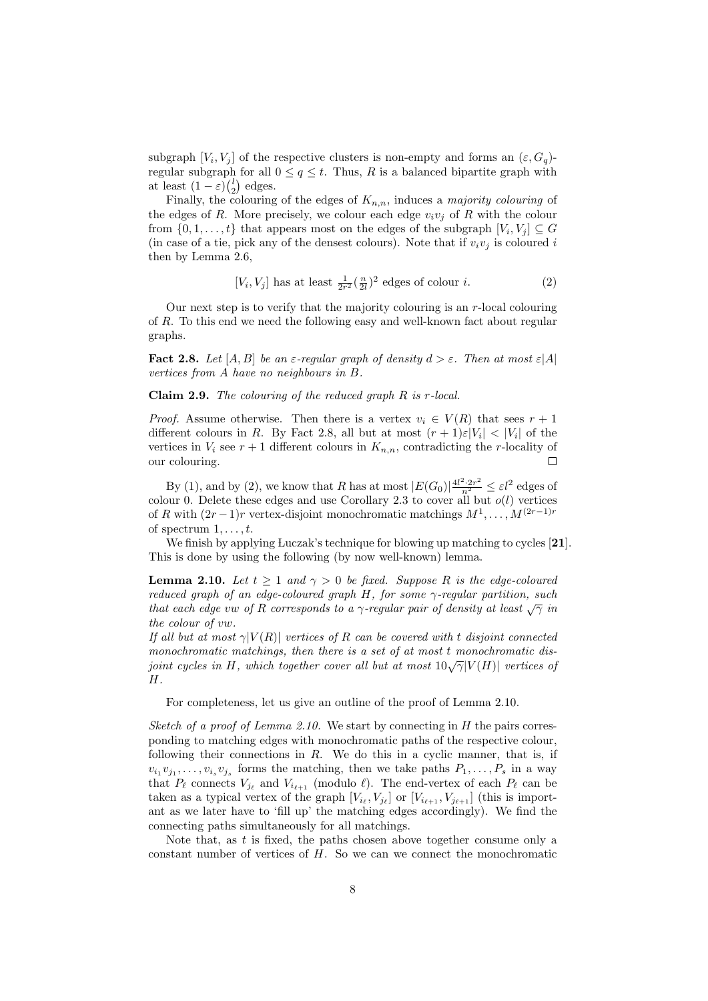subgraph  $[V_i, V_j]$  of the respective clusters is non-empty and forms an  $(\varepsilon, G_q)$ regular subgraph for all  $0 \le q \le t$ . Thus, R is a balanced bipartite graph with at least  $(1 - \varepsilon) {l \choose 2}$  edges.

Finally, the colouring of the edges of  $K_{n,n}$ , induces a *majority colouring* of the edges of *R*. More precisely, we colour each edge  $v_i v_j$  of *R* with the colour from  $\{0, 1, \ldots, t\}$  that appears most on the edges of the subgraph  $[V_i, V_j] \subseteq G$ (in case of a tie, pick any of the densest colours). Note that if  $v_i v_j$  is coloured *i* then by Lemma 2.6,

$$
[V_i, V_j] \text{ has at least } \frac{1}{2r^2} \left(\frac{n}{2l}\right)^2 \text{ edges of colour } i. \tag{2}
$$

Our next step is to verify that the majority colouring is an *r*-local colouring of *R*. To this end we need the following easy and well-known fact about regular graphs.

**Fact 2.8.** *Let*  $[A, B]$  *be an*  $\varepsilon$ -regular graph of density  $d > \varepsilon$ . Then at most  $\varepsilon |A|$ *vertices from A have no neighbours in B.*

**Claim 2.9.** *The colouring of the reduced graph R is r-local.*

*Proof.* Assume otherwise. Then there is a vertex  $v_i \in V(R)$  that sees  $r + 1$ different colours in *R*. By Fact 2.8, all but at most  $(r + 1)\varepsilon|V_i| < |V_i|$  of the vertices in  $V_i$  see  $r + 1$  different colours in  $K_{n,n}$ , contradicting the *r*-locality of our colouring.  $\Box$ 

By (1), and by (2), we know that *R* has at most  $|E(G_0)|^{\frac{4l^2 \cdot 2r^2}{n^2}} \leq \varepsilon l^2$  edges of colour 0. Delete these edges and use Corollary 2.3 to cover all but  $o(l)$  vertices of *R* with  $(2r-1)r$  vertex-disjoint monochromatic matchings  $M^1, \ldots, M^{(2r-1)r}$ of spectrum 1*, . . . , t*.

We finish by applying Luczak's technique for blowing up matching to cycles [**21**]. This is done by using the following (by now well-known) lemma.

**Lemma 2.10.** *Let*  $t > 1$  *and*  $\gamma > 0$  *be fixed. Suppose R is the edge-coloured reduced graph of an edge-coloured graph H, for some γ-regular partition, such that each edge vw of R corresponds to a γ*-regular pair of density at least  $\sqrt{\gamma}$  *in the colour of vw.*

*If all but at most*  $\gamma$  $|V(R)|$  *vertices of R can be covered with t disjoint connected monochromatic matchings, then there is a set of at most t monochromatic disjoint cycles in H, which together cover all but at most*  $10\sqrt{\gamma}|V(H)|$  *vertices of H.*

For completeness, let us give an outline of the proof of Lemma 2.10.

*Sketch of a proof of Lemma 2.10.* We start by connecting in *H* the pairs corresponding to matching edges with monochromatic paths of the respective colour, following their connections in *R*. We do this in a cyclic manner, that is, if  $v_i_1 v_{j_1}, \ldots, v_{i_s} v_{j_s}$  forms the matching, then we take paths  $P_1, \ldots, P_s$  in a way that  $P_{\ell}$  connects  $V_{j_{\ell}}$  and  $V_{i_{\ell+1}}$  (modulo  $\ell$ ). The end-vertex of each  $P_{\ell}$  can be taken as a typical vertex of the graph  $[V_{i_{\ell}}, V_{j_{\ell}}]$  or  $[V_{i_{\ell+1}}, V_{j_{\ell+1}}]$  (this is important as we later have to 'fill up' the matching edges accordingly). We find the connecting paths simultaneously for all matchings.

Note that, as *t* is fixed, the paths chosen above together consume only a constant number of vertices of *H*. So we can we connect the monochromatic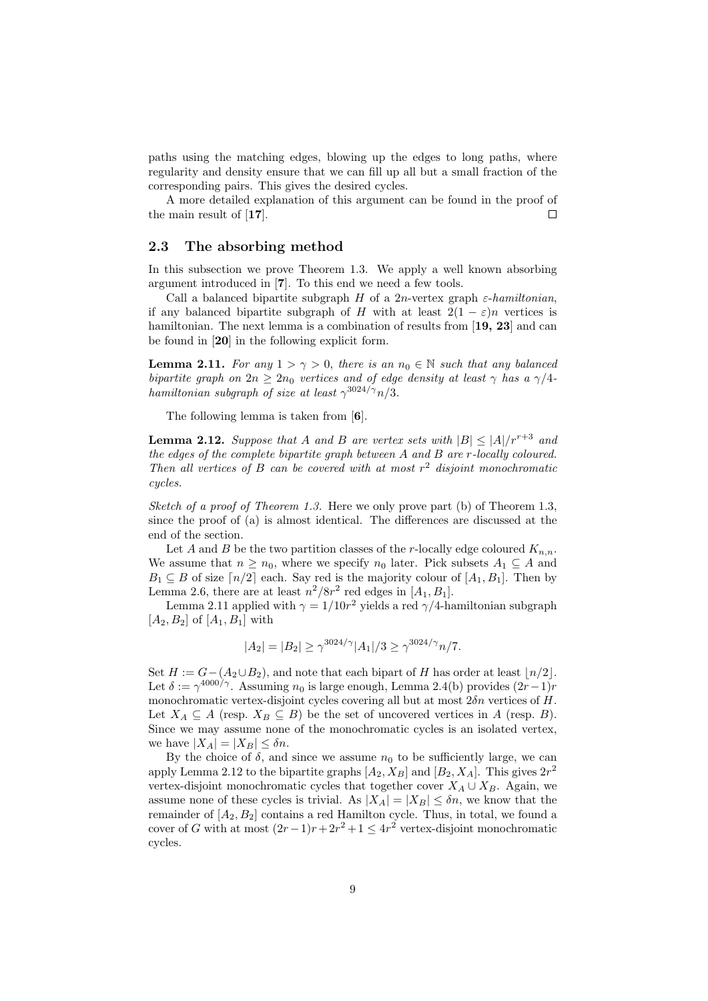paths using the matching edges, blowing up the edges to long paths, where regularity and density ensure that we can fill up all but a small fraction of the corresponding pairs. This gives the desired cycles.

A more detailed explanation of this argument can be found in the proof of the main result of [**17**].  $\Box$ 

## **2.3 The absorbing method**

In this subsection we prove Theorem 1.3. We apply a well known absorbing argument introduced in [**7**]. To this end we need a few tools.

Call a balanced bipartite subgraph *H* of a 2*n*-vertex graph  $\varepsilon$ -*hamiltonian*, if any balanced bipartite subgraph of *H* with at least  $2(1 - \varepsilon)n$  vertices is hamiltonian. The next lemma is a combination of results from [**19, 23**] and can be found in [**20**] in the following explicit form.

**Lemma 2.11.** *For any*  $1 > \gamma > 0$ *, there is an*  $n_0 \in \mathbb{N}$  *such that any balanced bipartite graph on*  $2n \geq 2n_0$  *vertices and of edge density at least*  $\gamma$  *has a*  $\gamma/4$ *hamiltonian subgraph of size at least*  $\gamma^{3024/\gamma}n/3$ *.* 

The following lemma is taken from [**6**].

**Lemma 2.12.** *Suppose that A and B are vertex sets with*  $|B| < |A|/r^{r+3}$  *and the edges of the complete bipartite graph between A and B are r-locally coloured. Then all vertices of B can be covered with at most r* <sup>2</sup> *disjoint monochromatic cycles.*

*Sketch of a proof of Theorem 1.3.* Here we only prove part (b) of Theorem 1.3, since the proof of (a) is almost identical. The differences are discussed at the end of the section.

Let *A* and *B* be the two partition classes of the *r*-locally edge coloured  $K_{n,n}$ . We assume that  $n \geq n_0$ , where we specify  $n_0$  later. Pick subsets  $A_1 \subseteq A$  and  $B_1 \subseteq B$  of size  $\lceil n/2 \rceil$  each. Say red is the majority colour of  $\lceil A_1, B_1 \rceil$ . Then by Lemma 2.6, there are at least  $n^2/8r^2$  red edges in  $[A_1, B_1]$ .

Lemma 2.11 applied with  $\gamma = 1/10r^2$  yields a red  $\gamma/4$ -hamiltonian subgraph  $[A_2, B_2]$  of  $[A_1, B_1]$  with

$$
|A_2| = |B_2| \ge \gamma^{3024/\gamma} |A_1|/3 \ge \gamma^{3024/\gamma} n/7.
$$

Set  $H := G - (A_2 \cup B_2)$ , and note that each bipart of *H* has order at least  $\lfloor n/2 \rfloor$ . Let  $\delta := \gamma^{4000/\gamma}$ . Assuming  $n_0$  is large enough, Lemma 2.4(b) provides  $(2r-1)r$ monochromatic vertex-disjoint cycles covering all but at most 2*δn* vertices of *H*. Let  $X_A \subseteq A$  (resp.  $X_B \subseteq B$ ) be the set of uncovered vertices in *A* (resp. *B*). Since we may assume none of the monochromatic cycles is an isolated vertex, we have  $|X_A| = |X_B| \leq \delta n$ .

By the choice of  $\delta$ , and since we assume  $n_0$  to be sufficiently large, we can apply Lemma 2.12 to the bipartite graphs  $[A_2, X_B]$  and  $[B_2, X_A]$ . This gives  $2r^2$ vertex-disjoint monochromatic cycles that together cover  $X_A \cup X_B$ . Again, we assume none of these cycles is trivial. As  $|X_A| = |X_B| \leq \delta n$ , we know that the remainder of  $[A_2, B_2]$  contains a red Hamilton cycle. Thus, in total, we found a cover of *G* with at most  $(2r-1)r + 2r^2 + 1 \le 4r^2$  vertex-disjoint monochromatic cycles.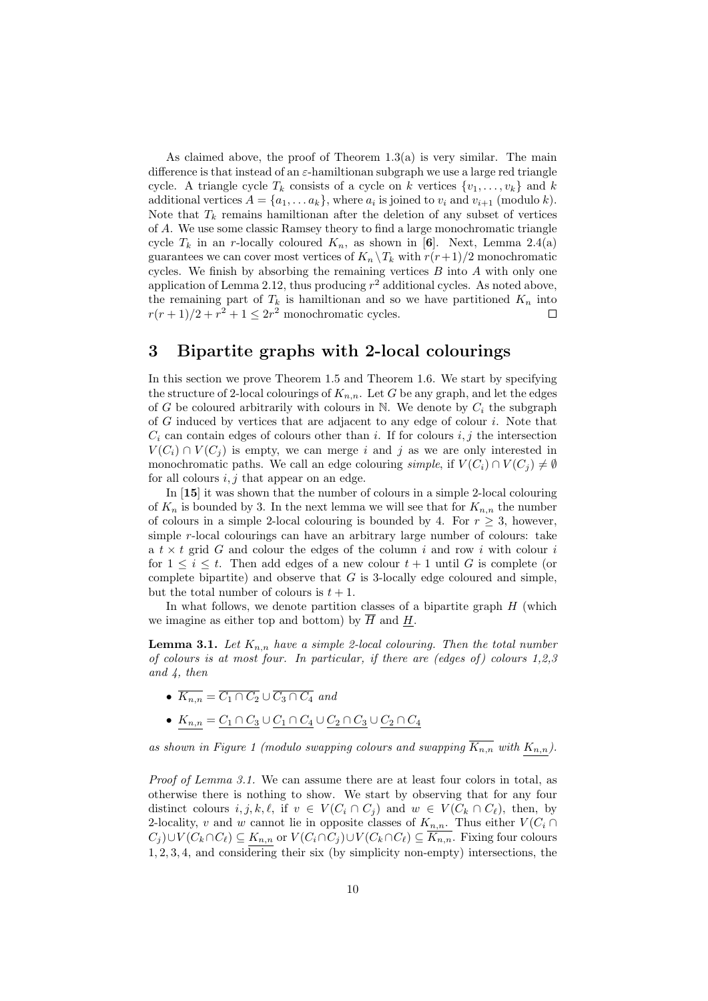As claimed above, the proof of Theorem  $1.3(a)$  is very similar. The main difference is that instead of an *ε*-hamiltionan subgraph we use a large red triangle cycle. A triangle cycle  $T_k$  consists of a cycle on *k* vertices  $\{v_1, \ldots, v_k\}$  and *k* additional vertices  $A = \{a_1, \ldots a_k\}$ , where  $a_i$  is joined to  $v_i$  and  $v_{i+1}$  (modulo  $k$ ). Note that  $T_k$  remains hamiltionan after the deletion of any subset of vertices of *A*. We use some classic Ramsey theory to find a large monochromatic triangle cycle  $T_k$  in an *r*-locally coloured  $K_n$ , as shown in [6]. Next, Lemma 2.4(a) guarantees we can cover most vertices of  $K_n \setminus T_k$  with  $r(r+1)/2$  monochromatic cycles. We finish by absorbing the remaining vertices *B* into *A* with only one application of Lemma 2.12, thus producing  $r^2$  additional cycles. As noted above, the remaining part of  $T_k$  is hamiltionan and so we have partitioned  $K_n$  into  $r(r+1)/2 + r^2 + 1 \leq 2r^2$  monochromatic cycles.  $\Box$ 

# **3 Bipartite graphs with 2-local colourings**

In this section we prove Theorem 1.5 and Theorem 1.6. We start by specifying the structure of 2-local colourings of  $K_{n,n}$ . Let G be any graph, and let the edges of *G* be coloured arbitrarily with colours in  $N$ . We denote by  $C_i$  the subgraph of *G* induced by vertices that are adjacent to any edge of colour *i*. Note that  $C_i$  can contain edges of colours other than *i*. If for colours  $i, j$  the intersection  $V(C_i) \cap V(C_i)$  is empty, we can merge *i* and *j* as we are only interested in monochromatic paths. We call an edge colouring *simple*, if  $V(C_i) \cap V(C_j) \neq \emptyset$ for all colours *i, j* that appear on an edge.

In [**15**] it was shown that the number of colours in a simple 2-local colouring of  $K_n$  is bounded by 3. In the next lemma we will see that for  $K_{n,n}$  the number of colours in a simple 2-local colouring is bounded by 4. For  $r \geq 3$ , however, simple *r*-local colourings can have an arbitrary large number of colours: take a *t × t* grid *G* and colour the edges of the column *i* and row *i* with colour *i* for  $1 \leq i \leq t$ . Then add edges of a new colour  $t+1$  until G is complete (or complete bipartite) and observe that *G* is 3-locally edge coloured and simple, but the total number of colours is  $t + 1$ .

In what follows, we denote partition classes of a bipartite graph *H* (which we imagine as either top and bottom) by  $\overline{H}$  and  $H$ .

**Lemma 3.1.** Let  $K_{n,n}$  have a simple 2-local colouring. Then the total number *of colours is at most four. In particular, if there are (edges of ) colours 1,2,3 and 4, then*

- $\overline{K_{n,n}} = \overline{C_1 \cap C_2} \cup \overline{C_3 \cap C_4}$  and
- *• Kn,n* = *C*<sup>1</sup> *∩ C*<sup>3</sup> *∪ C*<sup>1</sup> *∩ C*<sup>4</sup> *∪ C*<sup>2</sup> *∩ C*<sup>3</sup> *∪ C*<sup>2</sup> *∩ C*<sup>4</sup>

as shown in Figure 1 (modulo swapping colours and swapping  $\overline{K_{n,n}}$  with  $K_{n,n}$ ).

*Proof of Lemma 3.1.* We can assume there are at least four colors in total, as otherwise there is nothing to show. We start by observing that for any four distinct colours  $i, j, k, \ell$ , if  $v \in V(C_i \cap C_j)$  and  $w \in V(C_k \cap C_\ell)$ , then, by 2-locality, *v* and *w* cannot lie in opposite classes of  $K_{n,n}$ . Thus either  $V(C_i \cap C_j)$  $C_j\cup V(C_k\cap C_\ell) \subseteq K_{n,n}$  or  $V(C_i\cap C_j)\cup V(C_k\cap C_\ell) \subseteq \overline{K_{n,n}}$ . Fixing four colours 1*,* 2*,* 3*,* 4, and considering their six (by simplicity non-empty) intersections, the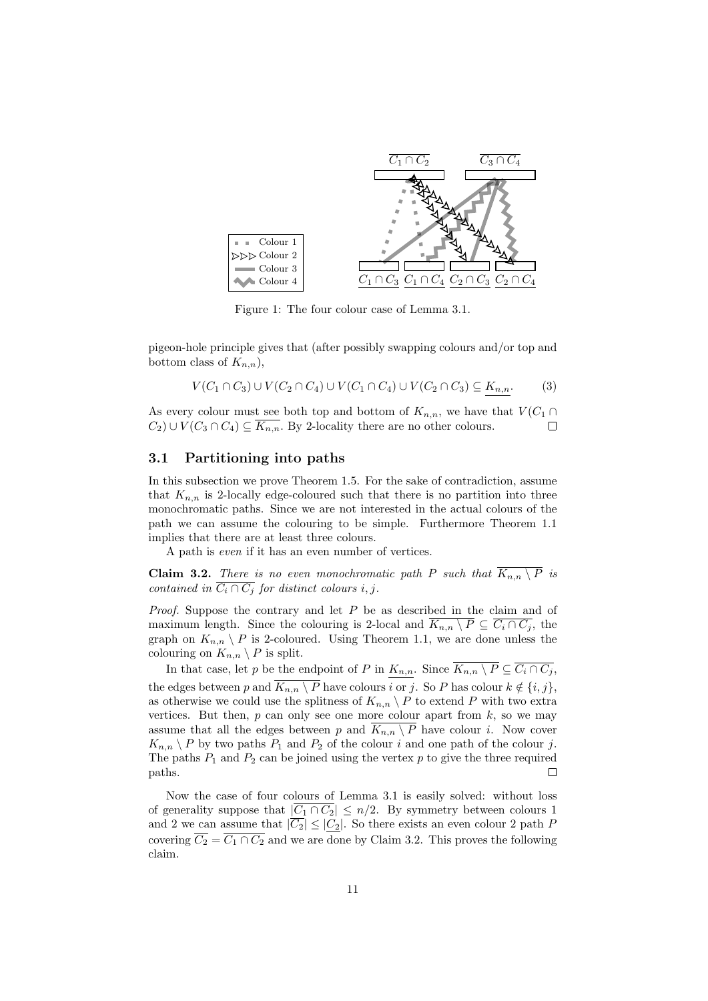

Figure 1: The four colour case of Lemma 3.1.

pigeon-hole principle gives that (after possibly swapping colours and/or top and bottom class of  $K_{n,n}$ ),

$$
V(C_1 \cap C_3) \cup V(C_2 \cap C_4) \cup V(C_1 \cap C_4) \cup V(C_2 \cap C_3) \subseteq K_{n,n}.
$$
 (3)

As every colour must see both top and bottom of  $K_{n,n}$ , we have that  $V(C_1 \cap$ *C*<sub>2</sub>) ∪  $V(C_3 \cap C_4)$   $\subseteq \overline{K_{n,n}}$ . By 2-locality there are no other colours.  $\Box$ 

## **3.1 Partitioning into paths**

In this subsection we prove Theorem 1.5. For the sake of contradiction, assume that  $K_{n,n}$  is 2-locally edge-coloured such that there is no partition into three monochromatic paths. Since we are not interested in the actual colours of the path we can assume the colouring to be simple. Furthermore Theorem 1.1 implies that there are at least three colours.

A path is *even* if it has an even number of vertices.

**Claim 3.2.** *There is no even monochromatic path P such that*  $\overline{K_{n,n} \setminus P}$  *is contained in*  $\overline{C_i \cap C_j}$  *for distinct colours i, j.* 

*Proof.* Suppose the contrary and let *P* be as described in the claim and of maximum length. Since the colouring is 2-local and  $\overline{K_{n,n} \setminus P} \subseteq \overline{C_i \cap C_j}$ , the graph on  $K_{n,n} \setminus P$  is 2-coloured. Using Theorem 1.1, we are done unless the colouring on  $K_{n,n} \setminus P$  is split.

In that case, let *p* be the endpoint of *P* in  $K_{n,n}$ . Since  $\overline{K_{n,n} \setminus P} \subseteq \overline{C_i \cap C_j}$ , the edges between *p* and  $\overline{K_{n,n} \setminus P}$  have colours  $\overline{i \text{ or } j}$ . So *P* has colour  $k \notin \{i, j\}$ , as otherwise we could use the splitness of  $K_{n,n} \setminus P$  to extend P with two extra vertices. But then,  $p$  can only see one more colour apart from  $k$ , so we may assume that all the edges between *p* and  $\overline{K_{n,n} \setminus P}$  have colour *i*. Now cover  $K_{n,n} \setminus P$  by two paths  $P_1$  and  $P_2$  of the colour *i* and one path of the colour *j*. The paths  $P_1$  and  $P_2$  can be joined using the vertex  $p$  to give the three required paths. Е

Now the case of four colours of Lemma 3.1 is easily solved: without loss of generality suppose that  $|\overline{C_1 \cap C_2}| \leq n/2$ . By symmetry between colours 1 and 2 we can assume that  $|\overline{C_2}| \leq |C_2|$ . So there exists an even colour 2 path P covering  $\overline{C_2} = \overline{C_1 \cap C_2}$  and we are done by Claim 3.2. This proves the following claim.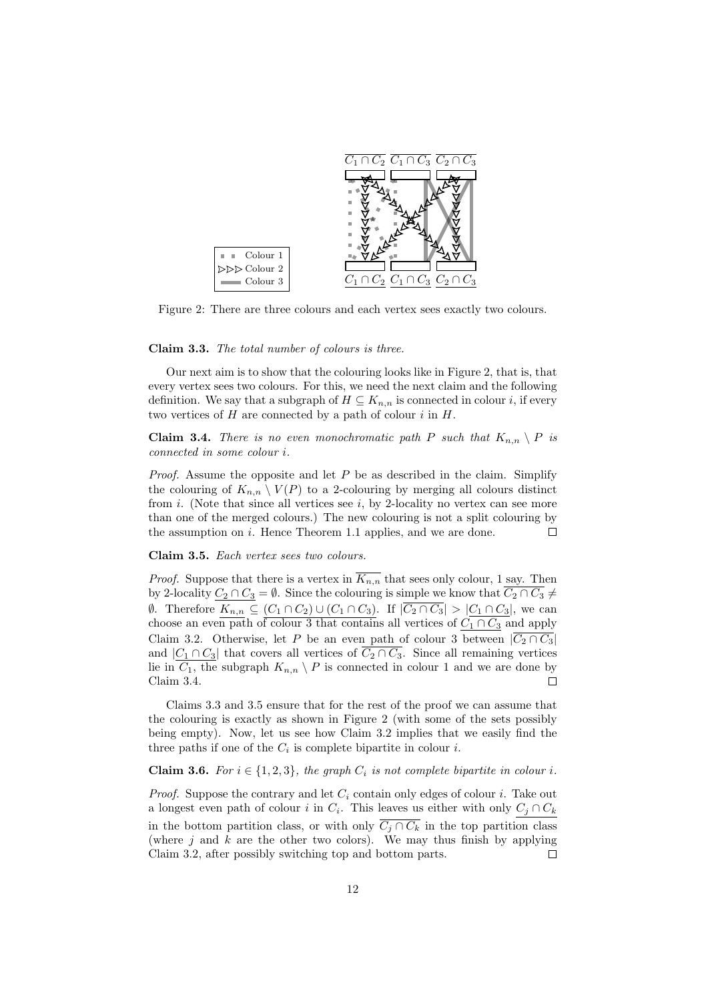

Figure 2: There are three colours and each vertex sees exactly two colours.

#### **Claim 3.3.** *The total number of colours is three.*

Our next aim is to show that the colouring looks like in Figure 2, that is, that every vertex sees two colours. For this, we need the next claim and the following definition. We say that a subgraph of  $H \subseteq K_{n,n}$  is connected in colour *i*, if every two vertices of *H* are connected by a path of colour *i* in *H*.

**Claim 3.4.** *There is no even monochromatic path P such that*  $K_{n,n} \setminus P$  *is connected in some colour i.*

*Proof.* Assume the opposite and let *P* be as described in the claim. Simplify the colouring of  $K_{n,n} \setminus V(P)$  to a 2-colouring by merging all colours distinct from *i*. (Note that since all vertices see *i*, by 2-locality no vertex can see more than one of the merged colours.) The new colouring is not a split colouring by  $\Box$ the assumption on *i*. Hence Theorem 1.1 applies, and we are done.

**Claim 3.5.** *Each vertex sees two colours.*

*Proof.* Suppose that there is a vertex in  $\overline{K_{n,n}}$  that sees only colour, 1 say. Then by 2-locality  $C_2 \cap C_3 = \emptyset$ . Since the colouring is simple we know that  $\overline{C_2 \cap C_3} \neq$  $\emptyset$ . Therefore  $K_{n,n} \subseteq (C_1 \cap C_2) \cup (C_1 \cap C_3)$ . If  $|C_2 \cap C_3| > |C_1 \cap C_3|$ , we can choose an even path of colour 3 that contains all vertices of  $C_1 \cap C_3$  and apply Claim 3.2. Otherwise, let *P* be an even path of colour 3 between  $|\overline{C_2 \cap C_3}|$ and  $|C_1 \cap C_3|$  that covers all vertices of  $\overline{C_2 \cap C_3}$ . Since all remaining vertices lie in  $C_1$ , the subgraph  $K_{n,n} \setminus P$  is connected in colour 1 and we are done by Claim 3.4. Г

Claims 3.3 and 3.5 ensure that for the rest of the proof we can assume that the colouring is exactly as shown in Figure 2 (with some of the sets possibly being empty). Now, let us see how Claim 3.2 implies that we easily find the three paths if one of the  $C_i$  is complete bipartite in colour  $i$ .

#### **Claim 3.6.** *For*  $i \in \{1, 2, 3\}$ *, the graph*  $C_i$  *is not complete bipartite in colour i*.

*Proof.* Suppose the contrary and let *C<sup>i</sup>* contain only edges of colour *i*. Take out a longest even path of colour *i* in  $C_i$ . This leaves us either with only  $C_j \cap C_k$ in the bottom partition class, or with only  $\overline{C_i \cap C_k}$  in the top partition class (where  $j$  and  $k$  are the other two colors). We may thus finish by applying Claim 3.2, after possibly switching top and bottom parts. Г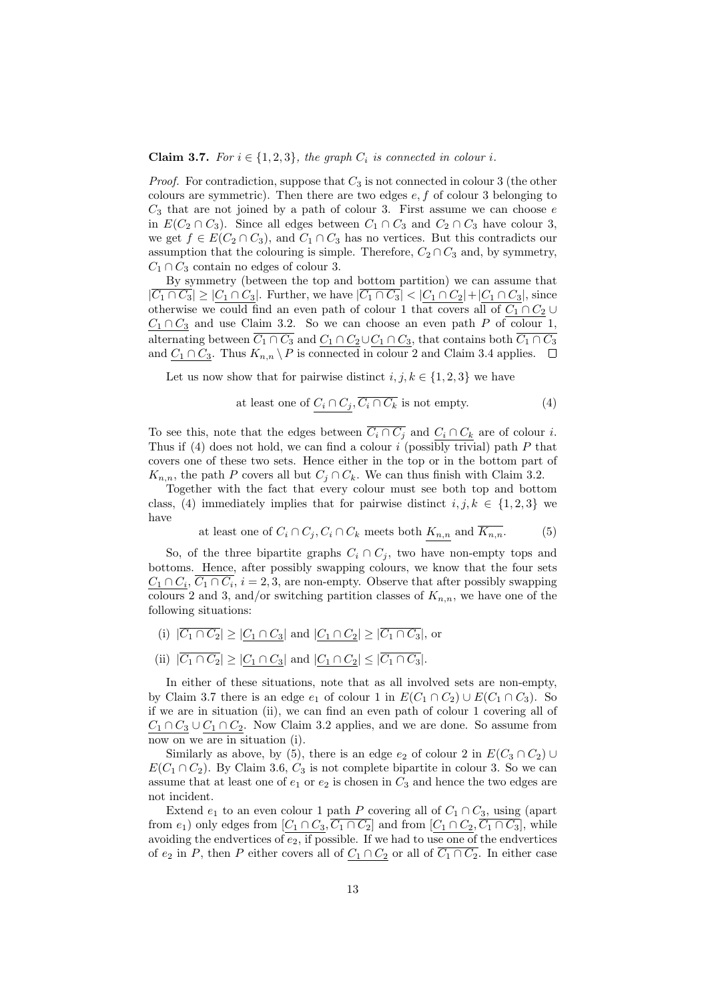#### **Claim 3.7.** *For*  $i \in \{1, 2, 3\}$ *, the graph*  $C_i$  *is connected in colour i.*

*Proof.* For contradiction, suppose that  $C_3$  is not connected in colour 3 (the other colours are symmetric). Then there are two edges *e, f* of colour 3 belonging to *C*<sup>3</sup> that are not joined by a path of colour 3. First assume we can choose *e* in  $E(C_2 \cap C_3)$ . Since all edges between  $C_1 \cap C_3$  and  $C_2 \cap C_3$  have colour 3, we get  $f \in E(C_2 \cap C_3)$ , and  $C_1 \cap C_3$  has no vertices. But this contradicts our assumption that the colouring is simple. Therefore,  $C_2 \cap C_3$  and, by symmetry,  $C_1 \cap C_3$  contain no edges of colour 3.

By symmetry (between the top and bottom partition) we can assume that  $|\overline{C_1 \cap C_3}| \geq |C_1 \cap C_3|$ . Further, we have  $|\overline{C_1 \cap C_3}| < |C_1 \cap C_2| + |C_1 \cap C_3|$ , since otherwise we could find an even path of colour 1 that covers all of  $C_1 \cap C_2 \cup$  $C_1 \cap C_3$  and use Claim 3.2. So we can choose an even path *P* of colour 1, alternating between  $\overline{C_1 \cap C_3}$  and  $\underline{C_1 \cap C_2} \cup \underline{C_1 \cap C_3}$ , that contains both  $\overline{C_1 \cap C_3}$ and  $C_1 \cap C_3$ . Thus  $K_{n,n} \setminus P$  is connected in colour 2 and Claim 3.4 applies. □

Let us now show that for pairwise distinct  $i, j, k \in \{1, 2, 3\}$  we have

at least one of 
$$
C_i \cap C_j
$$
,  $\overline{C_i \cap C_k}$  is not empty. (4)

To see this, note that the edges between  $\overline{C_i \cap C_j}$  and  $C_i \cap C_k$  are of colour *i*. Thus if (4) does not hold, we can find a colour *i* (possibly trivial) path *P* that covers one of these two sets. Hence either in the top or in the bottom part of  $K_{n,n}$ , the path *P* covers all but  $C_i \cap C_k$ . We can thus finish with Claim 3.2.

Together with the fact that every colour must see both top and bottom class, (4) immediately implies that for pairwise distinct  $i, j, k \in \{1, 2, 3\}$  we have

at least one of 
$$
C_i \cap C_j
$$
,  $C_i \cap C_k$  meets both  $K_{n,n}$  and  $K_{n,n}$ . (5)

So, of the three bipartite graphs  $C_i \cap C_j$ , two have non-empty tops and bottoms. Hence, after possibly swapping colours, we know that the four sets  $C_1 \cap C_i$ ,  $C_1 \cap C_i$ ,  $i = 2, 3$ , are non-empty. Observe that after possibly swapping colours 2 and 3, and/or switching partition classes of  $K_{n,n}$ , we have one of the following situations:

- (i)  $|\overline{C_1 \cap C_2}| \ge |C_1 \cap C_3|$  and  $|C_1 \cap C_2| \ge |\overline{C_1 \cap C_3}|$ , or
- (ii)  $|\overline{C_1 \cap C_2}| \ge |C_1 \cap C_3|$  and  $|C_1 \cap C_2| \le |\overline{C_1 \cap C_3}|$ .

In either of these situations, note that as all involved sets are non-empty, by Claim 3.7 there is an edge  $e_1$  of colour 1 in  $E(C_1 \cap C_2) \cup E(C_1 \cap C_3)$ . So if we are in situation (ii), we can find an even path of colour 1 covering all of  $C_1 \cap C_3 \cup C_1 \cap C_2$ . Now Claim 3.2 applies, and we are done. So assume from now on we are in situation (i).

Similarly as above, by (5), there is an edge  $e_2$  of colour 2 in  $E(C_3 \cap C_2) \cup$  $E(C_1 \cap C_2)$ . By Claim 3.6,  $C_3$  is not complete bipartite in colour 3. So we can assume that at least one of  $e_1$  or  $e_2$  is chosen in  $C_3$  and hence the two edges are not incident.

Extend  $e_1$  to an even colour 1 path *P* covering all of  $C_1 \cap C_3$ , using (apart from  $e_1$ ) only edges from  $[C_1 \cap C_3, \overline{C_1 \cap C_2}]$  and from  $[C_1 \cap C_2, \overline{C_1 \cap C_3}]$ , while avoiding the endvertices of *e*2, if possible. If we had to use one of the endvertices of  $e_2$  in *P*, then *P* either covers all of  $C_1 \cap C_2$  or all of  $\overline{C_1 \cap C_2}$ . In either case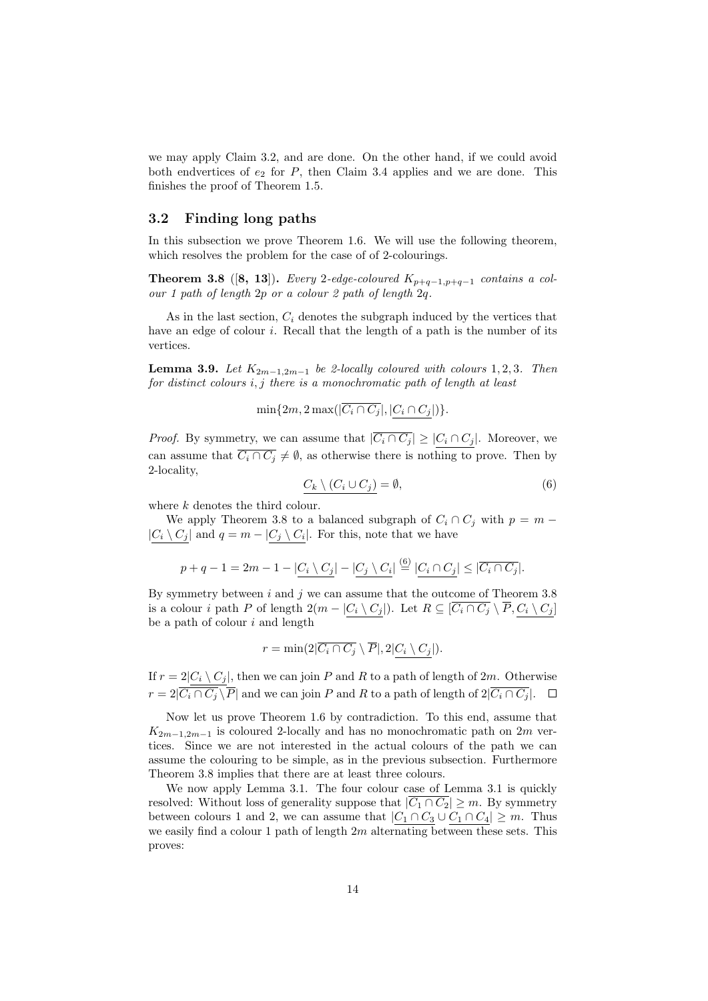we may apply Claim 3.2, and are done. On the other hand, if we could avoid both endvertices of  $e_2$  for  $P$ , then Claim 3.4 applies and we are done. This finishes the proof of Theorem 1.5.

## **3.2 Finding long paths**

In this subsection we prove Theorem 1.6. We will use the following theorem, which resolves the problem for the case of of 2-colourings.

**Theorem 3.8** ([8, 13]). *Every* 2-edge-coloured  $K_{p+q-1,p+q-1}$  contains a col*our 1 path of length* 2*p or a colour 2 path of length* 2*q.*

As in the last section,  $C_i$  denotes the subgraph induced by the vertices that have an edge of colour *i*. Recall that the length of a path is the number of its vertices.

**Lemma 3.9.** *Let*  $K_{2m-1,2m-1}$  *be 2-locally coloured with colours* 1*,* 2*,* 3*. Then for distinct colours i, j there is a monochromatic path of length at least*

 $\min\{2m, 2\max(|\overline{C_i \cap C_j}|, |C_i \cap C_j|)\}.$ 

*Proof.* By symmetry, we can assume that  $|\overline{C_i \cap C_j}| \geq |C_i \cap C_j|$ . Moreover, we can assume that  $\overline{C_i \cap C_j} \neq \emptyset$ , as otherwise there is nothing to prove. Then by 2-locality,

$$
C_k \setminus (C_i \cup C_j) = \emptyset, \tag{6}
$$

where *k* denotes the third colour.

We apply Theorem 3.8 to a balanced subgraph of  $C_i \cap C_j$  with  $p = m -$ *|C*<sup>*i*</sup>  $\setminus$  *C*<sup>*j*</sup>  $\setminus$  *and q* = *m* − *|C*<sup>*j*</sup>  $\setminus$  *C*<sup>*i*</sup> $\setminus$  *C*<sup>*i*</sup> $\setminus$  *C*<sup>*i*</sup> $\setminus$  *C*<sup>*i*</sup> $\setminus$  *C*<sup>*i*</sup> $\setminus$  *C*<sup>*i*</sup> $\setminus$  *C*<sup>*i*</sup> $\setminus$  *C*<sup>*i*</sup> $\setminus$  *C*<sup>*i*</sup> $\setminus$  *C*<sup>*i*</sup> $\setminus$  *C*<sup>*i*</sup> $\setminus$ 

$$
p + q - 1 = 2m - 1 - |C_i \setminus C_j| - |C_j \setminus C_i| \stackrel{(6)}{=} |C_i \cap C_j| \leq |\overline{C_i \cap C_j}|.
$$

By symmetry between  $i$  and  $j$  we can assume that the outcome of Theorem  $3.8$ is a colour i path P of length  $2(m - |C_i \setminus C_j|)$ . Let  $R \subseteq \overline{[C_i \cap C_j} \setminus \overline{P}, C_i \setminus C_j]$ be a path of colour *i* and length

$$
r = \min(2|\overline{C_i \cap C_j} \setminus \overline{P}|, 2|C_i \setminus C_j|).
$$

If  $r = 2|C_i \setminus C_j|$ , then we can join *P* and *R* to a path of length of 2*m*. Otherwise *r* =  $2|\overrightarrow{C_i \cap C_j} \setminus \overline{P}|$  and we can join *P* and *R* to a path of length of  $2|\overrightarrow{C_i \cap C_j}|$ . □

Now let us prove Theorem 1.6 by contradiction. To this end, assume that  $K_{2m-1,2m-1}$  is coloured 2-locally and has no monochromatic path on 2*m* vertices. Since we are not interested in the actual colours of the path we can assume the colouring to be simple, as in the previous subsection. Furthermore Theorem 3.8 implies that there are at least three colours.

We now apply Lemma 3.1. The four colour case of Lemma 3.1 is quickly resolved: Without loss of generality suppose that  $|\overline{C_1 \cap C_2}| \geq m$ . By symmetry between colours 1 and 2, we can assume that  $|C_1 \cap C_3 \cup C_1 \cap C_4| \geq m$ . Thus we easily find a colour 1 path of length 2*m* alternating between these sets. This proves: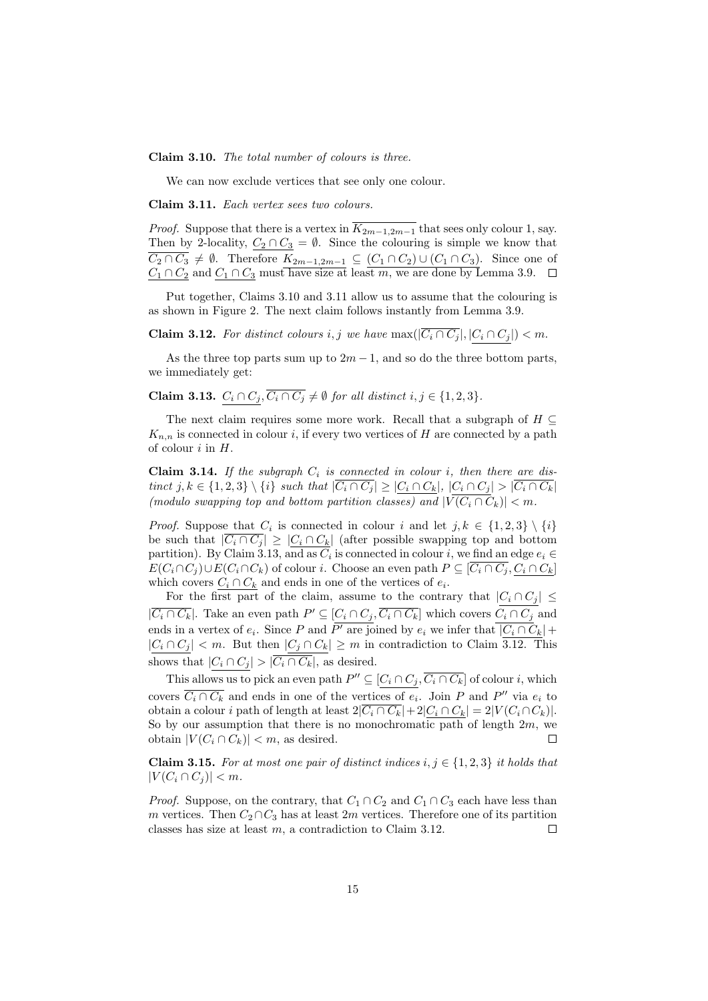**Claim 3.10.** *The total number of colours is three.*

We can now exclude vertices that see only one colour.

**Claim 3.11.** *Each vertex sees two colours.*

*Proof.* Suppose that there is a vertex in  $\overline{K_{2m-1,2m-1}}$  that sees only colour 1, say. Then by 2-locality,  $C_2 \cap C_3 = \emptyset$ . Since the colouring is simple we know that *C*<sub>2</sub> ∩ *C*<sub>3</sub> ≠  $\emptyset$ . Therefore  $K_{2m-1,2m-1}$  ⊆  $(C_1 \cap C_2) \cup (C_1 \cap C_3)$ . Since one of  $C_1 \cap C_2$  and  $C_1 \cap C_3$  must have size at least *m*, we are done by Lemma 3.9.

Put together, Claims 3.10 and 3.11 allow us to assume that the colouring is as shown in Figure 2. The next claim follows instantly from Lemma 3.9.

**Claim 3.12.** For distinct colours *i, j* we have  $\max(|\overline{C_i \cap C_j}|, |C_i \cap C_j|) < m$ .

As the three top parts sum up to  $2m-1$ , and so do the three bottom parts, we immediately get:

**Claim 3.13.**  $C_i \cap C_j$ ,  $\overline{C_i \cap C_j} \neq \emptyset$  for all distinct  $i, j \in \{1, 2, 3\}$ .

The next claim requires some more work. Recall that a subgraph of *H ⊆*  $K_{n,n}$  is connected in colour *i*, if every two vertices of *H* are connected by a path of colour *i* in *H*.

**Claim 3.14.** If the subgraph  $C_i$  is connected in colour *i*, then there are distinct  $j, k \in \{1, 2, 3\} \setminus \{i\}$  such that  $|\overline{C_i \cap C_j}| \geq |C_i \cap C_k|, |C_i \cap C_j| > |\overline{C_i \cap C_k}|$ *(modulo swapping top and bottom partition classes) and*  $|\overline{V(C_i \cap C_k)}| < m$ .

*Proof.* Suppose that  $C_i$  is connected in colour *i* and let  $j, k \in \{1, 2, 3\} \setminus \{i\}$ be such that  $|C_i \cap C_j| \geq |C_i \cap C_k|$  (after possible swapping top and bottom partition). By Claim 3.13, and as  $C_i$  is connected in colour *i*, we find an edge  $e_i \in$  $E(C_i \cap C_j) \cup E(C_i \cap C_k)$  of colour *i*. Choose an even path  $P \subseteq \overline{[C_i \cap C_j}, C_i \cap C_k]$ which covers  $C_i \cap C_k$  and ends in one of the vertices of  $e_i$ .

For the first part of the claim, assume to the contrary that  $|C_i \cap C_j| \leq$  $|C_i \cap C_k|$ . Take an even path  $P' \subseteq [C_i \cap C_j, C_i \cap C_k]$  which covers  $C_i \cap C_j$  and ends in a vertex of  $e_i$ . Since *P* and *P*<sup> $\prime$ </sup> are joined by  $e_i$  we infer that  $|C_i \cap C_k|$  + *|C*<sup>*i*</sup> ∩ *C*<sub>*j*</sub>  $|$  *< m*. But then  $|C_j ∩ C_k|$  ≥ *m* in contradiction to Claim 3.12. This shows that  $|C_i \cap C_j| > |\overline{C_i \cap C_k}|$ , as desired.

This allows us to pick an even path  $P'' \subseteq [C_i \cap C_j, C_i \cap C_k]$  of colour *i*, which covers  $C_i \cap C_k$  and ends in one of the vertices of  $e_i$ . Join  $P$  and  $P''$  via  $e_i$  to obtain a colour *i* path of length at least  $2|\overline{C_i \cap C_k}| + 2|C_i \cap C_k| = 2|V(C_i \cap C_k)|$ . So by our assumption that there is no monochromatic path of length 2*m*, we obtain  $|V(C_i \cap C_k)| < m$ , as desired.

**Claim 3.15.** For at most one pair of distinct indices  $i, j \in \{1, 2, 3\}$  it holds that  $|V(C_i \cap C_j)| < m$ .

*Proof.* Suppose, on the contrary, that  $C_1 \cap C_2$  and  $C_1 \cap C_3$  each have less than *m* vertices. Then  $C_2 \cap C_3$  has at least 2*m* vertices. Therefore one of its partition classes has size at least *m*, a contradiction to Claim 3.12.  $\Box$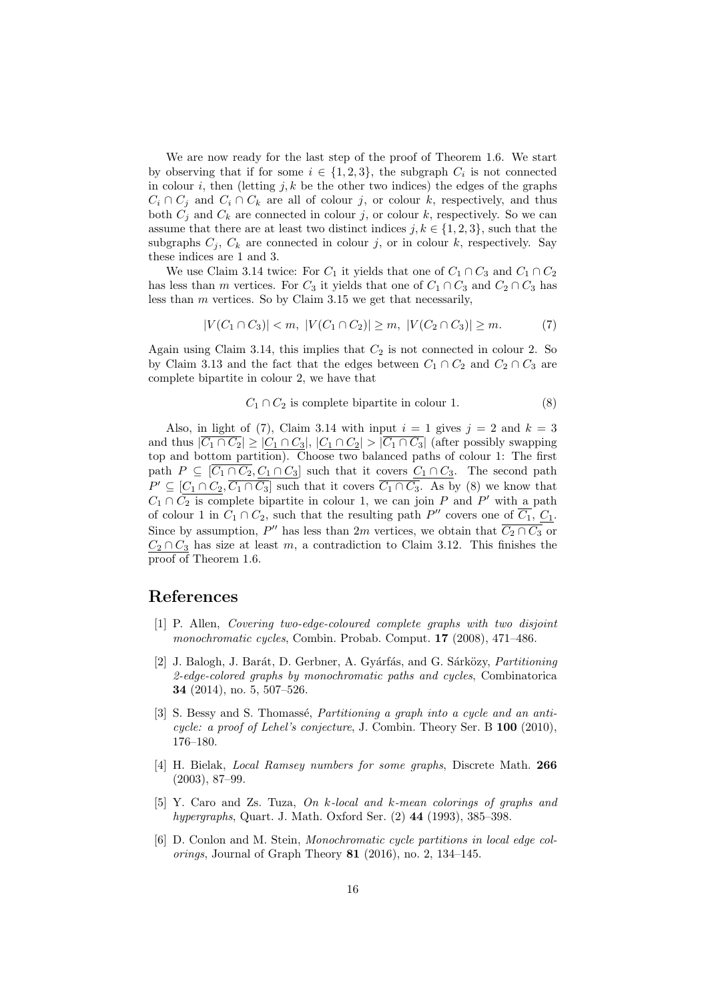We are now ready for the last step of the proof of Theorem 1.6. We start by observing that if for some  $i \in \{1, 2, 3\}$ , the subgraph  $C_i$  is not connected in colour *i*, then (letting  $j, k$  be the other two indices) the edges of the graphs  $C_i \cap C_j$  and  $C_i \cap C_k$  are all of colour *j*, or colour *k*, respectively, and thus both  $C_i$  and  $C_k$  are connected in colour *j*, or colour *k*, respectively. So we can assume that there are at least two distinct indices  $j, k \in \{1, 2, 3\}$ , such that the subgraphs  $C_i$ ,  $C_k$  are connected in colour *j*, or in colour *k*, respectively. Say these indices are 1 and 3.

We use Claim 3.14 twice: For  $C_1$  it yields that one of  $C_1 \cap C_3$  and  $C_1 \cap C_2$ has less than *m* vertices. For  $C_3$  it yields that one of  $C_1 \cap C_3$  and  $C_2 \cap C_3$  has less than *m* vertices. So by Claim 3.15 we get that necessarily,

$$
|V(C_1 \cap C_3)| < m, \ |V(C_1 \cap C_2)| \ge m, \ |V(C_2 \cap C_3)| \ge m. \tag{7}
$$

Again using Claim 3.14, this implies that  $C_2$  is not connected in colour 2. So by Claim 3.13 and the fact that the edges between  $C_1 \cap C_2$  and  $C_2 \cap C_3$  are complete bipartite in colour 2, we have that

$$
C_1 \cap C_2
$$
 is complete bipartite in colour 1. (8)

Also, in light of (7), Claim 3.14 with input  $i = 1$  gives  $j = 2$  and  $k = 3$ and thus  $|\overline{C_1 \cap C_2}| \geq |C_1 \cap C_3|$ ,  $|C_1 \cap C_2| > |\overline{C_1 \cap C_3}|$  (after possibly swapping top and bottom partition). Choose two balanced paths of colour 1: The first path  $P \subseteq [\overline{C_1 \cap C_2}, C_1 \cap C_3]$  such that it covers  $C_1 \cap C_3$ . The second path  $P' \subseteq [C_1 \cap C_2, C_1 \cap C_3]$  such that it covers  $C_1 \cap C_3$ . As by (8) we know that  $C_1 \cap C_2$  is complete bipartite in colour 1, we can join *P* and *P*<sup> $\prime$ </sup> with a path of colour 1 in  $C_1 \cap C_2$ , such that the resulting path  $P''$  covers one of  $C_1$ ,  $C_1$ . Since by assumption,  $P''$  has less than 2*m* vertices, we obtain that  $C_2 \cap C_3$  or  $C_2 \cap C_3$  has size at least *m*, a contradiction to Claim 3.12. This finishes the proof of Theorem 1.6.

# **References**

- [1] P. Allen, *Covering two-edge-coloured complete graphs with two disjoint monochromatic cycles*, Combin. Probab. Comput. **17** (2008), 471–486.
- [2] J. Balogh, J. Bar´at, D. Gerbner, A. Gy´arf´as, and G. S´ark¨ozy, *Partitioning 2-edge-colored graphs by monochromatic paths and cycles*, Combinatorica **34** (2014), no. 5, 507–526.
- [3] S. Bessy and S. Thomassé, *Partitioning a graph into a cycle and an anticycle: a proof of Lehel's conjecture*, J. Combin. Theory Ser. B **100** (2010), 176–180.
- [4] H. Bielak, *Local Ramsey numbers for some graphs*, Discrete Math. **266** (2003), 87–99.
- [5] Y. Caro and Zs. Tuza, *On k-local and k-mean colorings of graphs and hypergraphs*, Quart. J. Math. Oxford Ser. (2) **44** (1993), 385–398.
- [6] D. Conlon and M. Stein, *Monochromatic cycle partitions in local edge colorings*, Journal of Graph Theory **81** (2016), no. 2, 134–145.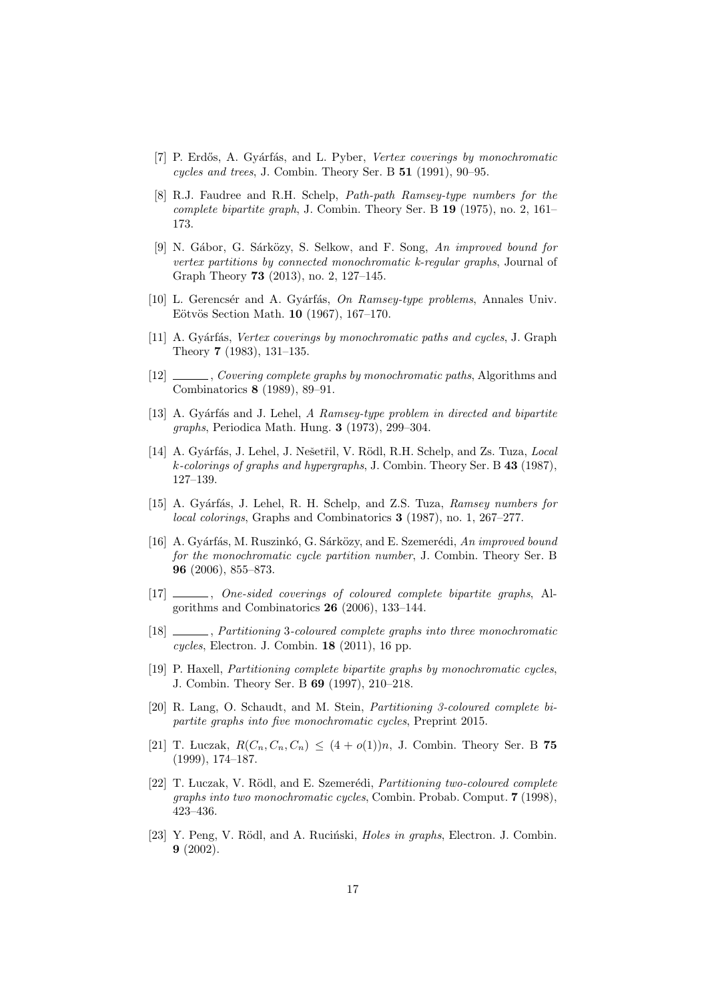- [7] P. Erdős, A. Gyárfás, and L. Pyber, *Vertex coverings by monochromatic cycles and trees*, J. Combin. Theory Ser. B **51** (1991), 90–95.
- [8] R.J. Faudree and R.H. Schelp, *Path-path Ramsey-type numbers for the complete bipartite graph*, J. Combin. Theory Ser. B **19** (1975), no. 2, 161– 173.
- [9] N. Gábor, G. Sárközy, S. Selkow, and F. Song, An improved bound for *vertex partitions by connected monochromatic k-regular graphs*, Journal of Graph Theory **73** (2013), no. 2, 127–145.
- [10] L. Gerencsér and A. Gyárfás, *On Ramsey-type problems*, Annales Univ. Eötvös Section Math. **10** (1967), 167–170.
- [11] A. Gyárfás, *Vertex coverings by monochromatic paths and cycles*, J. Graph Theory **7** (1983), 131–135.
- [12] , *Covering complete graphs by monochromatic paths*, Algorithms and Combinatorics **8** (1989), 89–91.
- [13] A. Gy´arf´as and J. Lehel, *A Ramsey-type problem in directed and bipartite graphs*, Periodica Math. Hung. **3** (1973), 299–304.
- [14] A. Gyárfás, J. Lehel, J. Nešetřil, V. Rödl, R.H. Schelp, and Zs. Tuza, *Local k-colorings of graphs and hypergraphs*, J. Combin. Theory Ser. B **43** (1987), 127–139.
- [15] A. Gy´arf´as, J. Lehel, R. H. Schelp, and Z.S. Tuza, *Ramsey numbers for local colorings*, Graphs and Combinatorics **3** (1987), no. 1, 267–277.
- [16] A. Gyárfás, M. Ruszinkó, G. Sárközy, and E. Szemerédi, *An improved bound for the monochromatic cycle partition number*, J. Combin. Theory Ser. B **96** (2006), 855–873.
- [17] , *One-sided coverings of coloured complete bipartite graphs*, Algorithms and Combinatorics **26** (2006), 133–144.
- [18] , *Partitioning* 3*-coloured complete graphs into three monochromatic cycles*, Electron. J. Combin. **18** (2011), 16 pp.
- [19] P. Haxell, *Partitioning complete bipartite graphs by monochromatic cycles*, J. Combin. Theory Ser. B **69** (1997), 210–218.
- [20] R. Lang, O. Schaudt, and M. Stein, *Partitioning 3-coloured complete bipartite graphs into five monochromatic cycles*, Preprint 2015.
- [21] T. Luczak,  $R(C_n, C_n, C_n) \leq (4 + o(1))n$ , J. Combin. Theory Ser. B 75 (1999), 174–187.
- [22] T. Luczak, V. Rödl, and E. Szemerédi, *Partitioning two-coloured complete graphs into two monochromatic cycles*, Combin. Probab. Comput. **7** (1998), 423–436.
- [23] Y. Peng, V. Rödl, and A. Ruciński, *Holes in graphs*, Electron. J. Combin. **9** (2002).